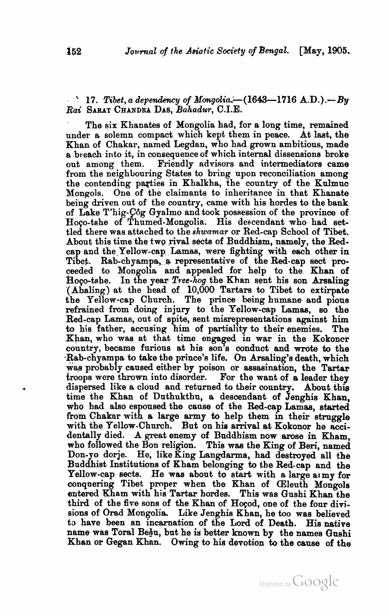## $17.$  Tibet, a dependency of *Mongolia.*—(1643—1716  $A.D.$ ).— By **Rai** SARAT CHANDRA DAB, Bahadur, C.I.E.

The six Khanates of Mongolia had, for a long time, remained under a solemn compact which kept them in peace. At last, the Khan of Chakar, named Legdan, who had grown ambitious, made a breach into it, in consequence of which internal dissensions broke out among them. Friendly advisors and intermediators came Friendly advisors and intermediators came from the neighbouring States to bring upon reconciliation among the contending parties in Khalkha, the country of the Kulmuc Mongols. One of the claimants to inheritance in that Khanate being driven out of the country, came with his hordes to the bank of Lake T'hig-Côg Gyalmo and took possession of the province of Hoco-tshe of Thumed-Mongolia. His descendant who had settled there was attached to the *shwamar* or Red-cap School of Tibet. About this time the two rival sects of Buddhism, namely, the Redcap and the Yellow-cap Lamas, were fighting with each other in Tibet. Rab-chyampa, a representative of the Red-cap sect proceeded to Mongolia and appealed for help to the Khan of Hoco-tshe. In the year *Tree-hog* the Khan sent his son Arsaling (Abaling) at the head of *10,000* Tartars to Tibet to extirpate the Yellow-cap Church. The prince being humane and pions refrained from doing injury to the Yellow-cap Lamas, so the Red-cap Lamas, out of spite, sent misrepresentations against him to his father, accusing him of partiality to their enemies. The Khan, who was at that time engaged in war in the Kokoncr conntry, became furious at his son's conduct and wrote to the .Rab-chyampa to take the prince's life. On Arsaling's death, which was probably caused either by poison or assasination, the Tartar troops were **thrown** into disorder. For the want of **a** leader they dispersed like a cloud and returned to their country. About this time the Khan of Dnthukthu, a descendant of Jenghis Khan, who had also espoused the cause of the Red-cap Lamas, started from Chakar with a large army to help them in their struggle with the Yellow-Church. But on his arrival at Kokonor he accidentally died. A great enemy of Buddhism now arose in Kham, who followed the Bon religion. This was the **King** of Beri, named Don-yo dorje. He, like King Langdarma, had destroyed all the Buddhist Institutions of Kham belonging to the Red-cap and the Yellow-cap sects. He was about to start with a large army for conquering Tibet proper when the Khan of CEleuth Mongols entered Kham with his Tartar hordes. This was Gushi Khan the third of the five sons of the Khan of Hoçod, one of the four divisions of Orad Mongolia. Like Jenghis Khan, he too was believed to have been an incarnation of the Lord of Death. His native name was Toral Behu, but he is better known by the names Gushi Khan or Gegan Khnn. Owing to his devotion to the cause of the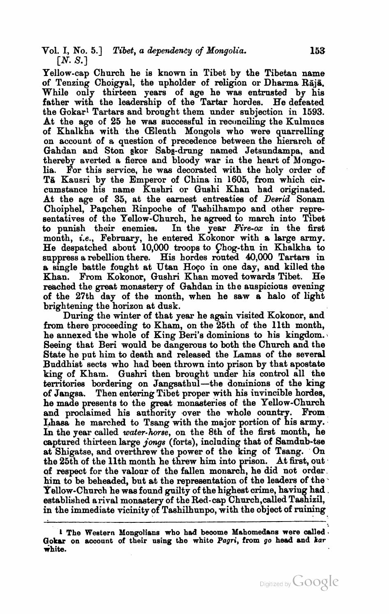Yellow-cap Church he is known in Tibet by the Tibetan name of Tenzing Choigyal, the upholder of religion or Dharma Raja. While only thirteen years of age he was entrusted by his father with the leadership of the Tartar hordes. He defeated the Gokarl Tartars and brought them under subjection in 1593. At the age of 25 he was successful in reconciling the Kulmucs of Khalkha with the (Eleuth Mongols who were quarrelling on account of a question of precedence between the hierarch of Gahdan and Ston gkor Sabg-drung named Jetsundampa, and thereby averted a fierce and bloody war in the heart of Mongolia. For this service, he was decorated with the holy order of T& Kansri by the Emperor of China in 1605, from which circumstance his name Kushri or Gnshi Khan had originated. At the age of 35, at the earnest entreaties of Desrid Sonam Choiphel, Panchen Rinpoche of Tashilhampo and other representatives of the Yellow-Church, he agreed to march into Tibet to punish their enemies. In the year  $Fire\text{-}ox$  in the first month, *i.e.*, February, he entered Kokonor with a large army. He despatched about 10,000 troops to Fhog-thu in Khalkha to suppress a rebellion there. His hordes routed 40,000 Tartars in a single battle fought at Utan Hoço in one day, and killed the Khan. From Kokonor, Gnshri Khan moved towards Tibet. He reached the great monastery of Gahdan in the auspicious evening of the 27th day of the month, when he saw a halo of light brightening the horizon at dusk.

During the **winter** of that year he again visited Kokonor, and from there proceeding to Kham, on the 25th of the llth month, he annexed the whole of King Beri's dominions to his kingdom. Seeing that Beri would be dangerous to both the Church and the State he put him to death and released the Lamas of the several Buddhist sects who had been thrown into prison by that apostate king of Kham. Gushri then brought under his control all the territories bordering on Jangsathul-the dominions of the king of Jangsa. Then entering Tibet proper with his invincible hordes, he made presents to the great monasteries of the Yellow-Church and proclaimed his authority over the whole country. From Lhasa he marched to Tsang with the major portion of his army. In the year called water-horse, on the 8th of the first month, he captured thirteen large **jongs** (forts), including that of Samdub-tse at Shigatse, and overthrew the power of the **king** of Tsang. On the 25th of the 11th month he threw him into prison. At first, out of respect for the valour of the fallen monarch, he did not order. him to be beheaded, but at the representation of the leaders of the Yellow-Church he was found guilty of the highest crime, having had. established arival monastery of the Red-cap Chnrch,caUed Tashizil, in the immediate vicinity of Taahilhunpo, with the object of mining

<sup>1</sup> The Western Mongolians who had become Mahomedans were called Gokar on account of their using the white Pagri, from go head and *kar* **white.**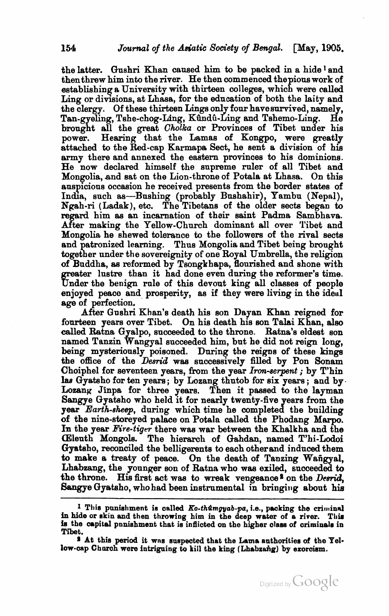the latter. Qnshri Khan caused him to be packed in a hide **1** and then threw him into the river. He then commenced the pions work of establishing a University with thirteen colleges, which were **called**  Ling or divisions, at Lhasa, for the education of both the laity and the clergy. Of these thirteen Lings only four have survived, namely,<br>Tan-gyeling, Tshe-chog-Ling, Kûndû-Ling and Tshemo-Ling. He Tan-gyeling, Tshe-chog-Ling, Kûndû-Ling and Tshemo-Ling. brought all the great Cholka or Provinces of Tibet under his power. Hearing that the Lamas of Kongpo, were greatly attached to the Red-cap Karmapa Sect, he sent a division of his army there and annexed the eastern provinces to his dominions. He now declared himself the supreme ruler of all Tibet and Mongolia, and sat on the Lion-throne of Potala at Lhasa. On this auspicious occasion he received presents from the border states of India, such as-Bushing (probably Bushahir), Yambu (Nepal), Npah-ri (Ladak), etc. The Tibetans of the older sects began to regard him as an incarnation of thair saint Padma Sambhava. After making the Yellow-Church dominant all over Tibet and Mongolia he shewed tolerance to the followers of the rival sects and patronized learning. Thus Mongolia and Tibet being brought together under the sovereignity of one Royal Umbrella, the religion of Buddha, as reformed by Tsongkhapa, flourished and shone with ater lustre than it had done even during the reformer's time. Under the benign rule of this devout king all classes of people enjoyed peaco and prosperity, as if they were living in the ideal age of perfection.

After Gushri Khan's death his son Dayan Khan reigned for fourteen years over Tibet. On his death his son Talai Khan, **aleo**  called Ratna Gyalpo, succeeded to the throne. Ratna's eldest son named Tanzin Wangyal succeeded him, but he did not reign long, being mysteriously poisoned. During the reigns of these kinga the office of the *Desrid* was successively filled by Pon Sonam Choiphel for seventeen years, from the year *Iron-serpent*; by T'hin Itus Gyatsho for ten years; by Lozang thutob for six years; and by. Lozang Jinpa for three years. Then it passed to the layman Sangye Gyatsho who held it for nearly twenty-five years from the year Earth-sheep, during which time he completed the building of the nine-storeyed palace on Potala called the Phodang Marpo. In the year Fire-tiger there was war between the Khalkha and the (Eleuth Mongols. The hierarch of Gahdan, named T'hi-Lodoi Gyatsho, reconciled the belligerents to each other and induced them to make a treaty of peace. On the death of Tanzing Wangyal, Lhabzang, the younger son of Ratna who was exiled, succeeded to the throne. His first act was to wreak vengeance<sup>8</sup> on the *Desrid*, Sangye Gyatsho, who had been instrumental in bringing about his



**<sup>1</sup> This punishment is called** *Ko-thûmgyab-pa***,** *i.e.***, packing the criminal in hide or skin and then throwing him in the deep water of a river. Tliia**  is the capital pnnishment that is inflicted on the higher class of criminals in Tibet.

**s At this period it wns saspeated that the Lama authorities of the Yel**low-cap Church were intriguing to kill the king (Lhabzang) by exoroism.